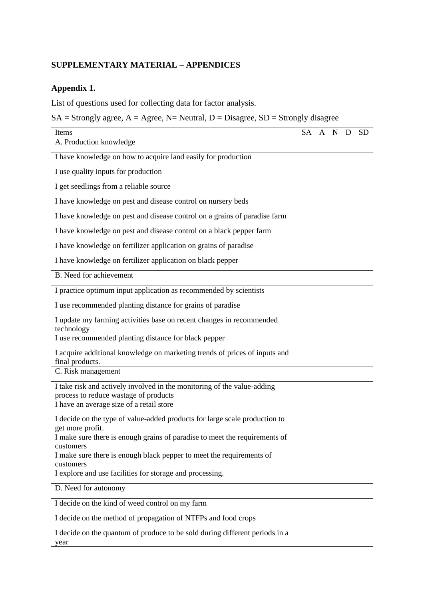#### **SUPPLEMENTARY MATERIAL – APPENDICES**

#### **Appendix 1.**

List of questions used for collecting data for factor analysis.

#### $SA =$  Strongly agree,  $A =$  Agree,  $N=$  Neutral,  $D =$  Disagree,  $SD =$  Strongly disagree

| Items                                                                                                                                                        | SA | A | $\mathbf N$ | D | <b>SD</b> |
|--------------------------------------------------------------------------------------------------------------------------------------------------------------|----|---|-------------|---|-----------|
| A. Production knowledge                                                                                                                                      |    |   |             |   |           |
| I have knowledge on how to acquire land easily for production                                                                                                |    |   |             |   |           |
| I use quality inputs for production                                                                                                                          |    |   |             |   |           |
| I get seedlings from a reliable source                                                                                                                       |    |   |             |   |           |
| I have knowledge on pest and disease control on nursery beds                                                                                                 |    |   |             |   |           |
| I have knowledge on pest and disease control on a grains of paradise farm                                                                                    |    |   |             |   |           |
| I have knowledge on pest and disease control on a black pepper farm                                                                                          |    |   |             |   |           |
| I have knowledge on fertilizer application on grains of paradise                                                                                             |    |   |             |   |           |
| I have knowledge on fertilizer application on black pepper                                                                                                   |    |   |             |   |           |
| B. Need for achievement                                                                                                                                      |    |   |             |   |           |
| I practice optimum input application as recommended by scientists                                                                                            |    |   |             |   |           |
| I use recommended planting distance for grains of paradise                                                                                                   |    |   |             |   |           |
| I update my farming activities base on recent changes in recommended<br>technology                                                                           |    |   |             |   |           |
| I use recommended planting distance for black pepper                                                                                                         |    |   |             |   |           |
| I acquire additional knowledge on marketing trends of prices of inputs and<br>final products.                                                                |    |   |             |   |           |
| C. Risk management                                                                                                                                           |    |   |             |   |           |
| I take risk and actively involved in the monitoring of the value-adding<br>process to reduce wastage of products<br>I have an average size of a retail store |    |   |             |   |           |
| I decide on the type of value-added products for large scale production to<br>get more profit.                                                               |    |   |             |   |           |
| I make sure there is enough grains of paradise to meet the requirements of<br>customers                                                                      |    |   |             |   |           |
| I make sure there is enough black pepper to meet the requirements of<br>customers                                                                            |    |   |             |   |           |
| I explore and use facilities for storage and processing.                                                                                                     |    |   |             |   |           |
| D. Need for autonomy                                                                                                                                         |    |   |             |   |           |
| I decide on the kind of weed control on my farm                                                                                                              |    |   |             |   |           |
| I decide on the method of propagation of NTFPs and food crops                                                                                                |    |   |             |   |           |
| I decide on the quantum of produce to be sold during different periods in a                                                                                  |    |   |             |   |           |

year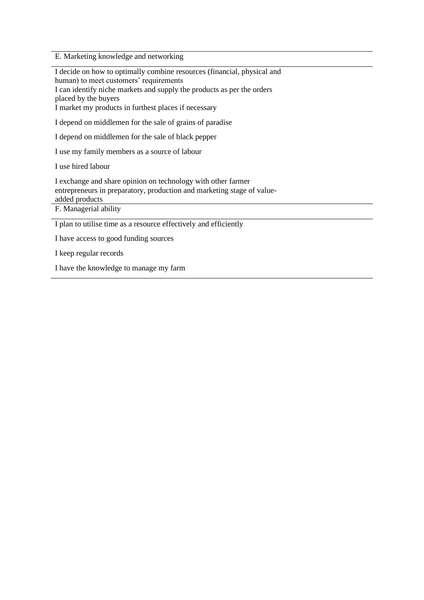E. Marketing knowledge and networking

I decide on how to optimally combine resources (financial, physical and human) to meet customers' requirements I can identify niche markets and supply the products as per the orders placed by the buyers I market my products in furthest places if necessary

I depend on middlemen for the sale of grains of paradise

I depend on middlemen for the sale of black pepper

I use my family members as a source of labour

I use hired labour

I exchange and share opinion on technology with other farmer entrepreneurs in preparatory, production and marketing stage of valueadded products

F. Managerial ability

I plan to utilise time as a resource effectively and efficiently

I have access to good funding sources

I keep regular records

I have the knowledge to manage my farm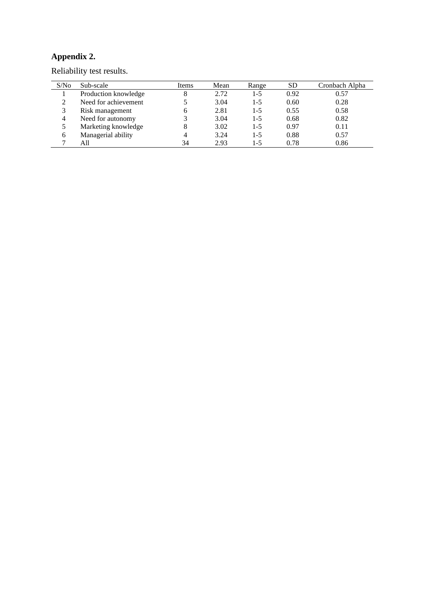# **Appendix 2.**

| S/No         | Sub-scale            | Items | Mean | Range   | SD   | Cronbach Alpha |
|--------------|----------------------|-------|------|---------|------|----------------|
|              | Production knowledge | 8     | 2.72 | $1-5$   | 0.92 | 0.57           |
| ∍            | Need for achievement |       | 3.04 | $1-5$   | 0.60 | 0.28           |
|              | Risk management      | b     | 2.81 | $1-5$   | 0.55 | 0.58           |
| 4            | Need for autonomy    |       | 3.04 | $1-5$   | 0.68 | 0.82           |
|              | Marketing knowledge  |       | 3.02 | $1 - 5$ | 0.97 | 0.11           |
| <sub>6</sub> | Managerial ability   |       | 3.24 | $1 - 5$ | 0.88 | 0.57           |
|              | All                  | 34    | 2.93 | 1-5     | 0.78 | 0.86           |

Reliability test results.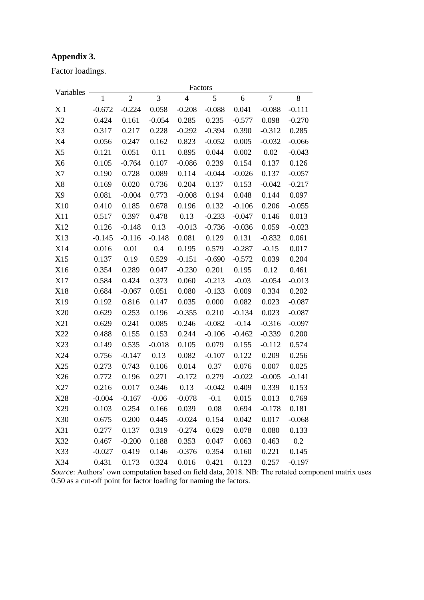### **Appendix 3.**

Factor loadings.

| Variables      | Factors  |              |          |                          |               |          |          |          |
|----------------|----------|--------------|----------|--------------------------|---------------|----------|----------|----------|
|                | 1        | $\mathbf{2}$ | 3        | $\overline{\mathcal{L}}$ | $\mathfrak s$ | 6        | 7        | 8        |
| X <sub>1</sub> | $-0.672$ | $-0.224$     | 0.058    | $-0.208$                 | $-0.088$      | 0.041    | $-0.088$ | $-0.111$ |
| X2             | 0.424    | 0.161        | $-0.054$ | 0.285                    | 0.235         | $-0.577$ | 0.098    | $-0.270$ |
| X3             | 0.317    | 0.217        | 0.228    | $-0.292$                 | $-0.394$      | 0.390    | $-0.312$ | 0.285    |
| X4             | 0.056    | 0.247        | 0.162    | 0.823                    | $-0.052$      | 0.005    | $-0.032$ | $-0.066$ |
| X <sub>5</sub> | 0.121    | 0.051        | 0.11     | 0.895                    | 0.044         | 0.002    | 0.02     | $-0.043$ |
| X <sub>6</sub> | 0.105    | $-0.764$     | 0.107    | $-0.086$                 | 0.239         | 0.154    | 0.137    | 0.126    |
| X7             | 0.190    | 0.728        | 0.089    | 0.114                    | $-0.044$      | $-0.026$ | 0.137    | $-0.057$ |
| X8             | 0.169    | 0.020        | 0.736    | 0.204                    | 0.137         | 0.153    | $-0.042$ | $-0.217$ |
| X9             | 0.081    | $-0.004$     | 0.773    | $-0.008$                 | 0.194         | 0.048    | 0.144    | 0.097    |
| X10            | 0.410    | 0.185        | 0.678    | 0.196                    | 0.132         | $-0.106$ | 0.206    | $-0.055$ |
| X11            | 0.517    | 0.397        | 0.478    | 0.13                     | $-0.233$      | $-0.047$ | 0.146    | 0.013    |
| X12            | 0.126    | $-0.148$     | 0.13     | $-0.013$                 | $-0.736$      | $-0.036$ | 0.059    | $-0.023$ |
| X13            | $-0.145$ | $-0.116$     | $-0.148$ | 0.081                    | 0.129         | 0.131    | $-0.832$ | 0.061    |
| X14            | 0.016    | 0.01         | 0.4      | 0.195                    | 0.579         | $-0.287$ | $-0.15$  | 0.017    |
| X15            | 0.137    | 0.19         | 0.529    | $-0.151$                 | $-0.690$      | $-0.572$ | 0.039    | 0.204    |
| X16            | 0.354    | 0.289        | 0.047    | $-0.230$                 | 0.201         | 0.195    | 0.12     | 0.461    |
| X17            | 0.584    | 0.424        | 0.373    | 0.060                    | $-0.213$      | $-0.03$  | $-0.054$ | $-0.013$ |
| X18            | 0.684    | $-0.067$     | 0.051    | 0.080                    | $-0.133$      | 0.009    | 0.334    | 0.202    |
| X19            | 0.192    | 0.816        | 0.147    | 0.035                    | 0.000         | 0.082    | 0.023    | $-0.087$ |
| X20            | 0.629    | 0.253        | 0.196    | $-0.355$                 | 0.210         | $-0.134$ | 0.023    | $-0.087$ |
| X21            | 0.629    | 0.241        | 0.085    | 0.246                    | $-0.082$      | $-0.14$  | $-0.316$ | $-0.097$ |
| X22            | 0.488    | 0.155        | 0.153    | 0.244                    | $-0.106$      | $-0.462$ | $-0.339$ | 0.200    |
| X23            | 0.149    | 0.535        | $-0.018$ | 0.105                    | 0.079         | 0.155    | $-0.112$ | 0.574    |
| X24            | 0.756    | $-0.147$     | 0.13     | 0.082                    | $-0.107$      | 0.122    | 0.209    | 0.256    |
| X25            | 0.273    | 0.743        | 0.106    | 0.014                    | 0.37          | 0.076    | 0.007    | 0.025    |
| X26            | 0.772    | 0.196        | 0.271    | $-0.172$                 | 0.279         | $-0.022$ | $-0.005$ | $-0.141$ |
| X27            | 0.216    | 0.017        | 0.346    | 0.13                     | $-0.042$      | 0.409    | 0.339    | 0.153    |
| X28            | $-0.004$ | $-0.167$     | $-0.06$  | $-0.078$                 | $-0.1$        | 0.015    | 0.013    | 0.769    |
| X29            | 0.103    | 0.254        | 0.166    | 0.039                    | 0.08          | 0.694    | $-0.178$ | 0.181    |
| X30            | 0.675    | 0.200        | 0.445    | $-0.024$                 | 0.154         | 0.042    | 0.017    | $-0.068$ |
| X31            | 0.277    | 0.137        | 0.319    | $-0.274$                 | 0.629         | 0.078    | 0.080    | 0.133    |
| X32            | 0.467    | $-0.200$     | 0.188    | 0.353                    | 0.047         | 0.063    | 0.463    | 0.2      |
| X33            | $-0.027$ | 0.419        | 0.146    | $-0.376$                 | 0.354         | 0.160    | 0.221    | 0.145    |
| X34            | 0.431    | 0.173        | 0.324    | 0.016                    | 0.421         | 0.123    | 0.257    | $-0.197$ |

*Source*: Authors' own computation based on field data, 2018. NB: The rotated component matrix uses 0.50 as a cut-off point for factor loading for naming the factors.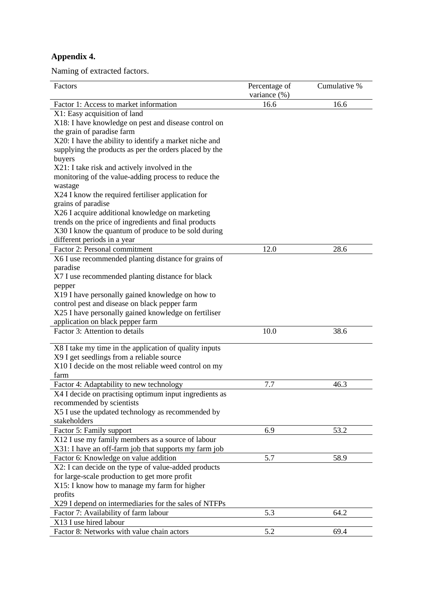# **Appendix 4.**

Naming of extracted factors.

| Factors                                                | Percentage of<br>variance (%) | Cumulative % |
|--------------------------------------------------------|-------------------------------|--------------|
| Factor 1: Access to market information                 | 16.6                          | 16.6         |
| X1: Easy acquisition of land                           |                               |              |
| X18: I have knowledge on pest and disease control on   |                               |              |
| the grain of paradise farm                             |                               |              |
| X20: I have the ability to identify a market niche and |                               |              |
| supplying the products as per the orders placed by the |                               |              |
| buyers                                                 |                               |              |
| X21: I take risk and actively involved in the          |                               |              |
| monitoring of the value-adding process to reduce the   |                               |              |
| wastage                                                |                               |              |
| X24 I know the required fertiliser application for     |                               |              |
| grains of paradise                                     |                               |              |
| X26 I acquire additional knowledge on marketing        |                               |              |
| trends on the price of ingredients and final products  |                               |              |
| X30 I know the quantum of produce to be sold during    |                               |              |
| different periods in a year                            |                               |              |
| Factor 2: Personal commitment                          | 12.0                          | 28.6         |
| X6 I use recommended planting distance for grains of   |                               |              |
| paradise                                               |                               |              |
| X7 I use recommended planting distance for black       |                               |              |
| pepper                                                 |                               |              |
| X19 I have personally gained knowledge on how to       |                               |              |
| control pest and disease on black pepper farm          |                               |              |
| X25 I have personally gained knowledge on fertiliser   |                               |              |
| application on black pepper farm                       |                               |              |
| Factor 3: Attention to details                         | 10.0                          | 38.6         |
| X8 I take my time in the application of quality inputs |                               |              |
| X9 I get seedlings from a reliable source              |                               |              |
| X10 I decide on the most reliable weed control on my   |                               |              |
| farm                                                   |                               |              |
| Factor 4: Adaptability to new technology               | 7.7                           | 46.3         |
| X4 I decide on practising optimum input ingredients as |                               |              |
| recommended by scientists                              |                               |              |
| X5 I use the updated technology as recommended by      |                               |              |
| stakeholders                                           |                               |              |
| Factor 5: Family support                               | 6.9                           | 53.2         |
| X12 I use my family members as a source of labour      |                               |              |
| X31: I have an off-farm job that supports my farm job  |                               |              |
| Factor 6: Knowledge on value addition                  | 5.7                           | 58.9         |
| X2: I can decide on the type of value-added products   |                               |              |
| for large-scale production to get more profit          |                               |              |
| X15: I know how to manage my farm for higher           |                               |              |
| profits                                                |                               |              |
| X29 I depend on intermediaries for the sales of NTFPs  |                               |              |
| Factor 7: Availability of farm labour                  | 5.3                           | 64.2         |
| X13 I use hired labour                                 |                               |              |
| Factor 8: Networks with value chain actors             | 5.2                           | 69.4         |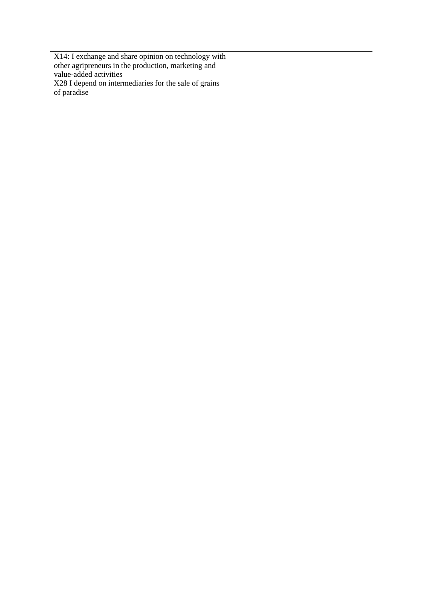X14: I exchange and share opinion on technology with other agripreneurs in the production, marketing and value-added activities X28 I depend on intermediaries for the sale of grains of paradise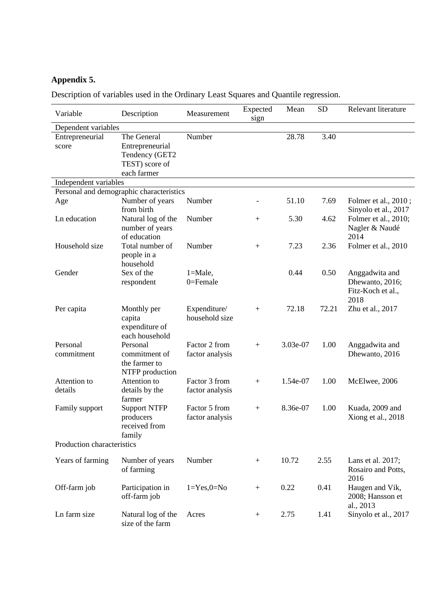# **Appendix 5.**

Description of variables used in the Ordinary Least Squares and Quantile regression.

| Variable                   | Description                                                                       | Measurement                      | Expected<br>sign | Mean     | <b>SD</b> | Relevant literature                                            |  |  |
|----------------------------|-----------------------------------------------------------------------------------|----------------------------------|------------------|----------|-----------|----------------------------------------------------------------|--|--|
| Dependent variables        |                                                                                   |                                  |                  |          |           |                                                                |  |  |
| Entrepreneurial<br>score   | The General<br>Entrepreneurial<br>Tendency (GET2<br>TEST) score of<br>each farmer | Number                           |                  | 28.78    | 3.40      |                                                                |  |  |
| Independent variables      |                                                                                   |                                  |                  |          |           |                                                                |  |  |
|                            | Personal and demographic characteristics                                          |                                  |                  |          |           |                                                                |  |  |
| Age                        | Number of years<br>from birth                                                     | Number                           |                  | 51.10    | 7.69      | Folmer et al., 2010;<br>Sinyolo et al., 2017                   |  |  |
| Ln education               | Natural log of the<br>number of years<br>of education                             | Number                           | $\mathrm{+}$     | 5.30     | 4.62      | Folmer et al., 2010;<br>Nagler & Naudé<br>2014                 |  |  |
| Household size             | Total number of<br>people in a<br>household                                       | Number                           | $+$              | 7.23     | 2.36      | Folmer et al., 2010                                            |  |  |
| Gender                     | Sex of the<br>respondent                                                          | $1 = Male$ ,<br>$0 =$ Female     |                  | 0.44     | 0.50      | Anggadwita and<br>Dhewanto, 2016;<br>Fitz-Koch et al.,<br>2018 |  |  |
| Per capita                 | Monthly per<br>capita<br>expenditure of<br>each household                         | Expenditure/<br>household size   | $+$              | 72.18    | 72.21     | Zhu et al., 2017                                               |  |  |
| Personal<br>commitment     | Personal<br>commitment of<br>the farmer to<br>NTFP production                     | Factor 2 from<br>factor analysis | $+$              | 3.03e-07 | 1.00      | Anggadwita and<br>Dhewanto, 2016                               |  |  |
| Attention to<br>details    | Attention to<br>details by the<br>farmer                                          | Factor 3 from<br>factor analysis | $^{+}$           | 1.54e-07 | 1.00      | McElwee, 2006                                                  |  |  |
| Family support             | <b>Support NTFP</b><br>producers<br>received from<br>family                       | Factor 5 from<br>factor analysis | $+$              | 8.36e-07 | 1.00      | Kuada, 2009 and<br>Xiong et al., 2018                          |  |  |
| Production characteristics |                                                                                   |                                  |                  |          |           |                                                                |  |  |
| Years of farming           | Number of years<br>of farming                                                     | Number                           | $+$              | 10.72    | 2.55      | Lans et al. 2017;<br>Rosairo and Potts,<br>2016                |  |  |
| Off-farm job               | Participation in<br>off-farm job                                                  | $1 = Yes, 0 = No$                | $+$              | 0.22     | 0.41      | Haugen and Vik,<br>2008; Hansson et<br>al., 2013               |  |  |
| Ln farm size               | Natural log of the<br>size of the farm                                            | Acres                            | $^{+}$           | 2.75     | 1.41      | Sinyolo et al., 2017                                           |  |  |